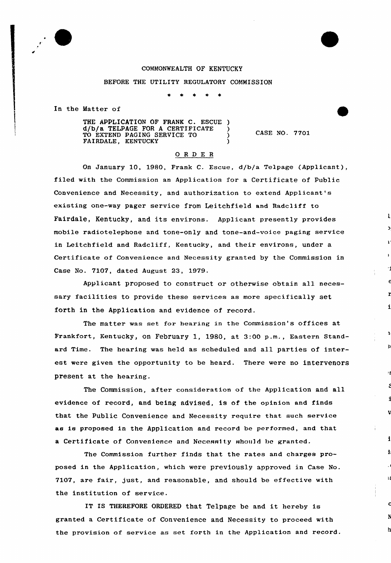## COMMOmEALTH OF KENTUCKY

## BEFORE THE UTILITY REGULATORY COMMISSION

In the Matter of

THE APPLICATION OF FRANK C. ESCUE ) d/b/a TELPAGE FOR <sup>A</sup> CERTIFICATE ) TO EXTEND PAGING SERVICE TO  $\qquad$  ) FAIRDALE, KENTUCKY (1999)

CASE NO. 7701

 $\mathbf{I}$ 

 $\overline{\mathbf{3}}$ 

 $\mathbf{R}$ 

 $\overline{\mathbf{h}}$ 

## ORDER

On January 10, 1980, Frank C. Escue, d/b/a Telpage (Applicant), filed with the Commission an Application for a Certificate of Public Convenience and Necessity, and authorization to extend Applicant's existing one-way pagex service from Leitchfield and Radcliff to Fairdale, Kentucky, and its environs. Applicant presently provides mobile radiotelephone and tone-only and tone-and-voice paging service in Leitchfield and Radcliff, Kentucky, and their environs, under a Certificate of Convenience and Necessity granted by the Commission in Case No. 7107, dated August 23, 1979.

Applicant proposed to construct or otherwise obtain all necessary facilities to provide these services as more specifically set forth in the Application and evidence of record.

The matter was set fox hearing in the Commission's offices at Frankfoxt, Kentucky, on February 1, 1980, at 3:00 p.m., Eastern Standard Time. The hearing was held as scheduled and all parties of interest were given the opportunity to be heard. There were no intervenors present at the hearing.

The Commission, after consideration of the Application and all evidence of record, and being advised, is of the opinion and finds that the Public Convenience and Necessity require that such service as is proposed in the Application and record be performed, and that a Certificate of Convenience and Necessity should be granted.

The Commission further finds that the rates and charges proposed in the Application, which were previously approved in Case No. 7107, are fair, just, and reasonable, and should be effective with the institution of service.

IT IS THEREFORE ORDERED that Telpage be and it hereby is granted a Certificate of Convenience and Necessity to proceed with the provision of service as set forth in the Application and record.